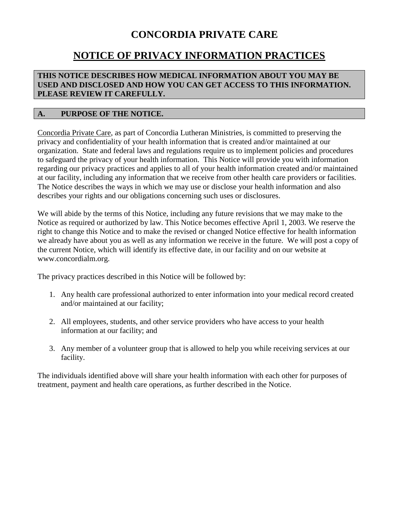# **CONCORDIA PRIVATE CARE**

## **NOTICE OF PRIVACY INFORMATION PRACTICES**

#### **THIS NOTICE DESCRIBES HOW MEDICAL INFORMATION ABOUT YOU MAY BE USED AND DISCLOSED AND HOW YOU CAN GET ACCESS TO THIS INFORMATION. PLEASE REVIEW IT CAREFULLY.**

### **A. PURPOSE OF THE NOTICE.**

Concordia Private Care, as part of Concordia Lutheran Ministries, is committed to preserving the privacy and confidentiality of your health information that is created and/or maintained at our organization. State and federal laws and regulations require us to implement policies and procedures to safeguard the privacy of your health information. This Notice will provide you with information regarding our privacy practices and applies to all of your health information created and/or maintained at our facility, including any information that we receive from other health care providers or facilities. The Notice describes the ways in which we may use or disclose your health information and also describes your rights and our obligations concerning such uses or disclosures.

We will abide by the terms of this Notice, including any future revisions that we may make to the Notice as required or authorized by law. This Notice becomes effective April 1, 2003. We reserve the right to change this Notice and to make the revised or changed Notice effective for health information we already have about you as well as any information we receive in the future. We will post a copy of the current Notice, which will identify its effective date, in our facility and on our website at www.concordialm.org.

The privacy practices described in this Notice will be followed by:

- 1. Any health care professional authorized to enter information into your medical record created and/or maintained at our facility;
- 2. All employees, students, and other service providers who have access to your health information at our facility; and
- 3. Any member of a volunteer group that is allowed to help you while receiving services at our facility.

The individuals identified above will share your health information with each other for purposes of treatment, payment and health care operations, as further described in the Notice.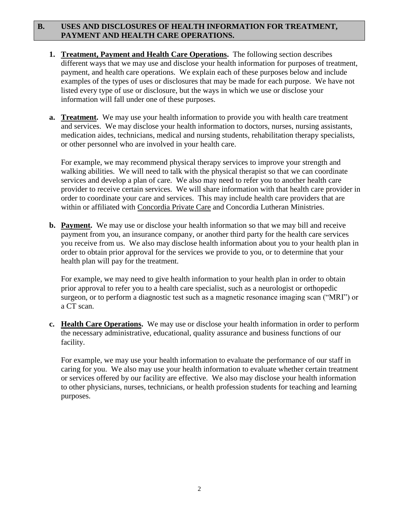### **B. USES AND DISCLOSURES OF HEALTH INFORMATION FOR TREATMENT, PAYMENT AND HEALTH CARE OPERATIONS.**

- **1. Treatment, Payment and Health Care Operations.** The following section describes different ways that we may use and disclose your health information for purposes of treatment, payment, and health care operations. We explain each of these purposes below and include examples of the types of uses or disclosures that may be made for each purpose. We have not listed every type of use or disclosure, but the ways in which we use or disclose your information will fall under one of these purposes.
- **a. Treatment.** We may use your health information to provide you with health care treatment and services. We may disclose your health information to doctors, nurses, nursing assistants, medication aides, technicians, medical and nursing students, rehabilitation therapy specialists, or other personnel who are involved in your health care.

For example, we may recommend physical therapy services to improve your strength and walking abilities. We will need to talk with the physical therapist so that we can coordinate services and develop a plan of care. We also may need to refer you to another health care provider to receive certain services. We will share information with that health care provider in order to coordinate your care and services. This may include health care providers that are within or affiliated with Concordia Private Care and Concordia Lutheran Ministries.

**b. Payment.** We may use or disclose your health information so that we may bill and receive payment from you, an insurance company, or another third party for the health care services you receive from us. We also may disclose health information about you to your health plan in order to obtain prior approval for the services we provide to you, or to determine that your health plan will pay for the treatment.

For example, we may need to give health information to your health plan in order to obtain prior approval to refer you to a health care specialist, such as a neurologist or orthopedic surgeon, or to perform a diagnostic test such as a magnetic resonance imaging scan ("MRI") or a CT scan.

**c. Health Care Operations.** We may use or disclose your health information in order to perform the necessary administrative, educational, quality assurance and business functions of our facility.

For example, we may use your health information to evaluate the performance of our staff in caring for you. We also may use your health information to evaluate whether certain treatment or services offered by our facility are effective. We also may disclose your health information to other physicians, nurses, technicians, or health profession students for teaching and learning purposes.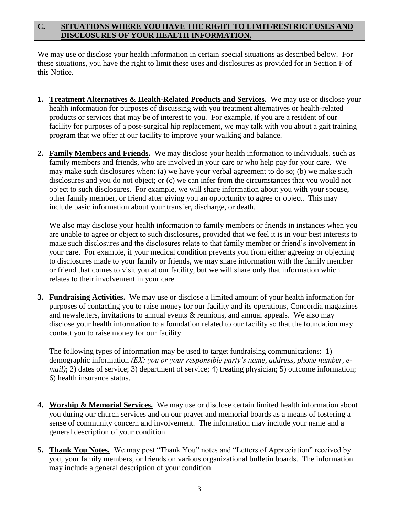## **C. SITUATIONS WHERE YOU HAVE THE RIGHT TO LIMIT/RESTRICT USES AND DISCLOSURES OF YOUR HEALTH INFORMATION.**

We may use or disclose your health information in certain special situations as described below. For these situations, you have the right to limit these uses and disclosures as provided for in Section F of this Notice.

- **1. Treatment Alternatives & Health-Related Products and Services.** We may use or disclose your health information for purposes of discussing with you treatment alternatives or health-related products or services that may be of interest to you. For example, if you are a resident of our facility for purposes of a post-surgical hip replacement, we may talk with you about a gait training program that we offer at our facility to improve your walking and balance.
- **2. Family Members and Friends.** We may disclose your health information to individuals, such as family members and friends, who are involved in your care or who help pay for your care. We may make such disclosures when: (a) we have your verbal agreement to do so; (b) we make such disclosures and you do not object; or (c) we can infer from the circumstances that you would not object to such disclosures. For example, we will share information about you with your spouse, other family member, or friend after giving you an opportunity to agree or object. This may include basic information about your transfer, discharge, or death.

We also may disclose your health information to family members or friends in instances when you are unable to agree or object to such disclosures, provided that we feel it is in your best interests to make such disclosures and the disclosures relate to that family member or friend's involvement in your care. For example, if your medical condition prevents you from either agreeing or objecting to disclosures made to your family or friends, we may share information with the family member or friend that comes to visit you at our facility, but we will share only that information which relates to their involvement in your care.

**3. Fundraising Activities.** We may use or disclose a limited amount of your health information for purposes of contacting you to raise money for our facility and its operations, Concordia magazines and newsletters, invitations to annual events & reunions, and annual appeals. We also may disclose your health information to a foundation related to our facility so that the foundation may contact you to raise money for our facility.

The following types of information may be used to target fundraising communications: 1) demographic information *(EX: you or your responsible party's name, address, phone number, email*); 2) dates of service; 3) department of service; 4) treating physician; 5) outcome information; 6) health insurance status.

- **4. Worship & Memorial Services.** We may use or disclose certain limited health information about you during our church services and on our prayer and memorial boards as a means of fostering a sense of community concern and involvement. The information may include your name and a general description of your condition.
- **5. Thank You Notes.** We may post "Thank You" notes and "Letters of Appreciation" received by you, your family members, or friends on various organizational bulletin boards. The information may include a general description of your condition.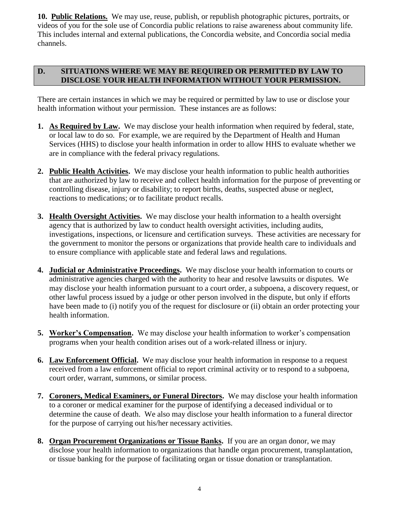**10. Public Relations.** We may use, reuse, publish, or republish photographic pictures, portraits, or videos of you for the sole use of Concordia public relations to raise awareness about community life. This includes internal and external publications, the Concordia website, and Concordia social media channels.

## **D. SITUATIONS WHERE WE MAY BE REQUIRED OR PERMITTED BY LAW TO DISCLOSE YOUR HEALTH INFORMATION WITHOUT YOUR PERMISSION.**

There are certain instances in which we may be required or permitted by law to use or disclose your health information without your permission. These instances are as follows:

- **1. As Required by Law.** We may disclose your health information when required by federal, state, or local law to do so. For example, we are required by the Department of Health and Human Services (HHS) to disclose your health information in order to allow HHS to evaluate whether we are in compliance with the federal privacy regulations.
- **2. Public Health Activities.** We may disclose your health information to public health authorities that are authorized by law to receive and collect health information for the purpose of preventing or controlling disease, injury or disability; to report births, deaths, suspected abuse or neglect, reactions to medications; or to facilitate product recalls.
- **3. Health Oversight Activities.** We may disclose your health information to a health oversight agency that is authorized by law to conduct health oversight activities, including audits, investigations, inspections, or licensure and certification surveys. These activities are necessary for the government to monitor the persons or organizations that provide health care to individuals and to ensure compliance with applicable state and federal laws and regulations.
- **4. Judicial or Administrative Proceedings.** We may disclose your health information to courts or administrative agencies charged with the authority to hear and resolve lawsuits or disputes. We may disclose your health information pursuant to a court order, a subpoena, a discovery request, or other lawful process issued by a judge or other person involved in the dispute, but only if efforts have been made to (i) notify you of the request for disclosure or (ii) obtain an order protecting your health information.
- **5. Worker's Compensation.** We may disclose your health information to worker's compensation programs when your health condition arises out of a work-related illness or injury.
- **6. Law Enforcement Official.** We may disclose your health information in response to a request received from a law enforcement official to report criminal activity or to respond to a subpoena, court order, warrant, summons, or similar process.
- **7. Coroners, Medical Examiners, or Funeral Directors.** We may disclose your health information to a coroner or medical examiner for the purpose of identifying a deceased individual or to determine the cause of death. We also may disclose your health information to a funeral director for the purpose of carrying out his/her necessary activities.
- **8. Organ Procurement Organizations or Tissue Banks.** If you are an organ donor, we may disclose your health information to organizations that handle organ procurement, transplantation, or tissue banking for the purpose of facilitating organ or tissue donation or transplantation.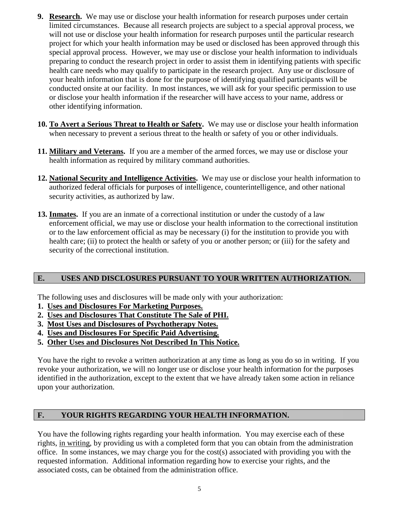- **9. Research.** We may use or disclose your health information for research purposes under certain limited circumstances. Because all research projects are subject to a special approval process, we will not use or disclose your health information for research purposes until the particular research project for which your health information may be used or disclosed has been approved through this special approval process. However, we may use or disclose your health information to individuals preparing to conduct the research project in order to assist them in identifying patients with specific health care needs who may qualify to participate in the research project. Any use or disclosure of your health information that is done for the purpose of identifying qualified participants will be conducted onsite at our facility. In most instances, we will ask for your specific permission to use or disclose your health information if the researcher will have access to your name, address or other identifying information.
- **10. To Avert a Serious Threat to Health or Safety.** We may use or disclose your health information when necessary to prevent a serious threat to the health or safety of you or other individuals.
- **11. Military and Veterans.** If you are a member of the armed forces, we may use or disclose your health information as required by military command authorities.
- **12. National Security and Intelligence Activities.** We may use or disclose your health information to authorized federal officials for purposes of intelligence, counterintelligence, and other national security activities, as authorized by law.
- **13. Inmates.** If you are an inmate of a correctional institution or under the custody of a law enforcement official, we may use or disclose your health information to the correctional institution or to the law enforcement official as may be necessary (i) for the institution to provide you with health care; (ii) to protect the health or safety of you or another person; or (iii) for the safety and security of the correctional institution.

## **E. USES AND DISCLOSURES PURSUANT TO YOUR WRITTEN AUTHORIZATION.**

The following uses and disclosures will be made only with your authorization:

- **1. Uses and Disclosures For Marketing Purposes.**
- **2. Uses and Disclosures That Constitute The Sale of PHI.**
- **3. Most Uses and Disclosures of Psychotherapy Notes.**
- **4. Uses and Disclosures For Specific Paid Advertising.**
- **5. Other Uses and Disclosures Not Described In This Notice.**

You have the right to revoke a written authorization at any time as long as you do so in writing. If you revoke your authorization, we will no longer use or disclose your health information for the purposes identified in the authorization, except to the extent that we have already taken some action in reliance upon your authorization.

### **F. YOUR RIGHTS REGARDING YOUR HEALTH INFORMATION.**

You have the following rights regarding your health information. You may exercise each of these rights, in writing, by providing us with a completed form that you can obtain from the administration office. In some instances, we may charge you for the cost(s) associated with providing you with the requested information. Additional information regarding how to exercise your rights, and the associated costs, can be obtained from the administration office.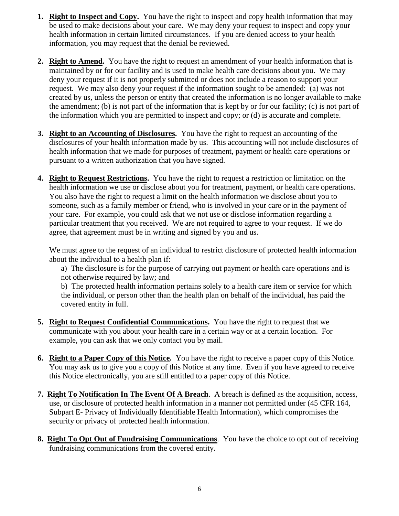- **1. Right to Inspect and Copy.** You have the right to inspect and copy health information that may be used to make decisions about your care. We may deny your request to inspect and copy your health information in certain limited circumstances. If you are denied access to your health information, you may request that the denial be reviewed.
- **2. Right to Amend.** You have the right to request an amendment of your health information that is maintained by or for our facility and is used to make health care decisions about you. We may deny your request if it is not properly submitted or does not include a reason to support your request. We may also deny your request if the information sought to be amended: (a) was not created by us, unless the person or entity that created the information is no longer available to make the amendment; (b) is not part of the information that is kept by or for our facility; (c) is not part of the information which you are permitted to inspect and copy; or (d) is accurate and complete.
- **3. Right to an Accounting of Disclosures.** You have the right to request an accounting of the disclosures of your health information made by us. This accounting will not include disclosures of health information that we made for purposes of treatment, payment or health care operations or pursuant to a written authorization that you have signed.
- **4. Right to Request Restrictions.** You have the right to request a restriction or limitation on the health information we use or disclose about you for treatment, payment, or health care operations. You also have the right to request a limit on the health information we disclose about you to someone, such as a family member or friend, who is involved in your care or in the payment of your care. For example, you could ask that we not use or disclose information regarding a particular treatment that you received. We are not required to agree to your request. If we do agree, that agreement must be in writing and signed by you and us.

We must agree to the request of an individual to restrict disclosure of protected health information about the individual to a health plan if:

a) The disclosure is for the purpose of carrying out payment or health care operations and is not otherwise required by law; and

b) The protected health information pertains solely to a health care item or service for which the individual, or person other than the health plan on behalf of the individual, has paid the covered entity in full.

- **5. Right to Request Confidential Communications.** You have the right to request that we communicate with you about your health care in a certain way or at a certain location. For example, you can ask that we only contact you by mail.
- **6. Right to a Paper Copy of this Notice.** You have the right to receive a paper copy of this Notice. You may ask us to give you a copy of this Notice at any time. Even if you have agreed to receive this Notice electronically, you are still entitled to a paper copy of this Notice.
- **7. Right To Notification In The Event Of A Breach**. A breach is defined as the acquisition, access, use, or disclosure of protected health information in a manner not permitted under (45 CFR 164, Subpart E- Privacy of Individually Identifiable Health Information), which compromises the security or privacy of protected health information.
- **8. Right To Opt Out of Fundraising Communications**. You have the choice to opt out of receiving fundraising communications from the covered entity.